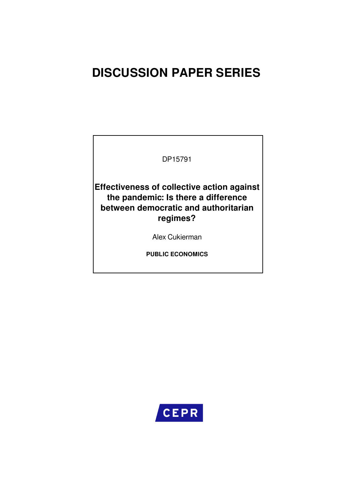# **DISCUSSION PAPER SERIES**

DP15791

**Effectiveness of collective action against the pandemic: Is there a difference between democratic and authoritarian regimes?**

Alex Cukierman

**PUBLIC ECONOMICS**

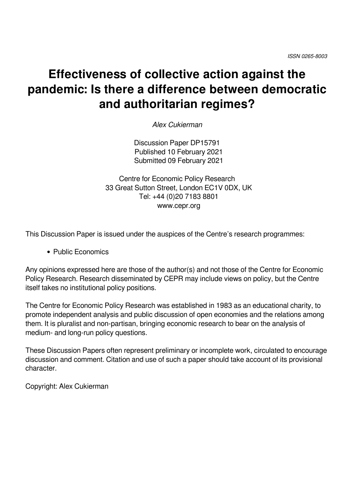# **Effectiveness of collective action against the pandemic: Is there a difference between democratic and authoritarian regimes?**

*Alex Cukierman*

Discussion Paper DP15791 Published 10 February 2021 Submitted 09 February 2021

Centre for Economic Policy Research 33 Great Sutton Street, London EC1V 0DX, UK Tel: +44 (0)20 7183 8801 www.cepr.org

This Discussion Paper is issued under the auspices of the Centre's research programmes:

Public Economics

Any opinions expressed here are those of the author(s) and not those of the Centre for Economic Policy Research. Research disseminated by CEPR may include views on policy, but the Centre itself takes no institutional policy positions.

The Centre for Economic Policy Research was established in 1983 as an educational charity, to promote independent analysis and public discussion of open economies and the relations among them. It is pluralist and non-partisan, bringing economic research to bear on the analysis of medium- and long-run policy questions.

These Discussion Papers often represent preliminary or incomplete work, circulated to encourage discussion and comment. Citation and use of such a paper should take account of its provisional character.

Copyright: Alex Cukierman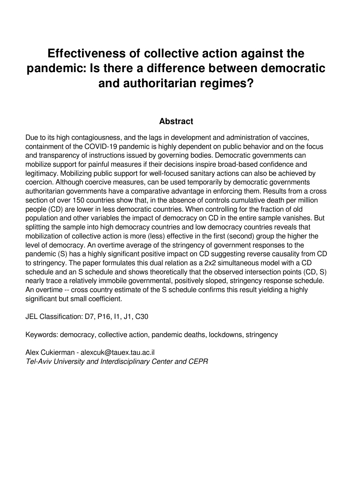# **Effectiveness of collective action against the pandemic: Is there a difference between democratic and authoritarian regimes?**

## **Abstract**

Due to its high contagiousness, and the lags in development and administration of vaccines, containment of the COVID-19 pandemic is highly dependent on public behavior and on the focus and transparency of instructions issued by governing bodies. Democratic governments can mobilize support for painful measures if their decisions inspire broad-based confidence and legitimacy. Mobilizing public support for well-focused sanitary actions can also be achieved by coercion. Although coercive measures, can be used temporarily by democratic governments authoritarian governments have a comparative advantage in enforcing them. Results from a cross section of over 150 countries show that, in the absence of controls cumulative death per million people (CD) are lower in less democratic countries. When controlling for the fraction of old population and other variables the impact of democracy on CD in the entire sample vanishes. But splitting the sample into high democracy countries and low democracy countries reveals that mobilization of collective action is more (less) effective in the first (second) group the higher the level of democracy. An overtime average of the stringency of government responses to the pandemic (S) has a highly significant positive impact on CD suggesting reverse causality from CD to stringency. The paper formulates this dual relation as a 2x2 simultaneous model with a CD schedule and an S schedule and shows theoretically that the observed intersection points (CD, S) nearly trace a relatively immobile governmental, positively sloped, stringency response schedule. An overtime -- cross country estimate of the S schedule confirms this result yielding a highly significant but small coefficient.

JEL Classification: D7, P16, I1, J1, C30

Keywords: democracy, collective action, pandemic deaths, lockdowns, stringency

Alex Cukierman - alexcuk@tauex.tau.ac.il *Tel-Aviv University and Interdisciplinary Center and CEPR*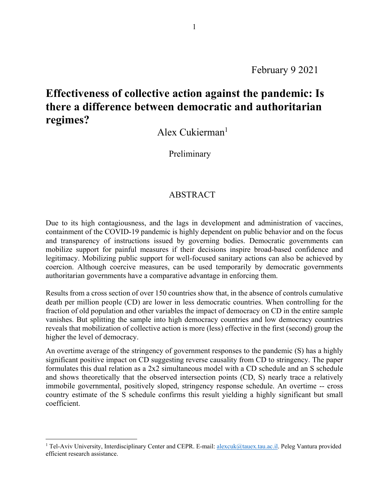February 9 2021

# **Effectiveness of collective action against the pandemic: Is there a difference between democratic and authoritarian regimes?**

Alex Cukierman<sup>1</sup>

**Preliminary** 

### ABSTRACT

Due to its high contagiousness, and the lags in development and administration of vaccines, containment of the COVID-19 pandemic is highly dependent on public behavior and on the focus and transparency of instructions issued by governing bodies. Democratic governments can mobilize support for painful measures if their decisions inspire broad-based confidence and legitimacy. Mobilizing public support for well-focused sanitary actions can also be achieved by coercion. Although coercive measures, can be used temporarily by democratic governments authoritarian governments have a comparative advantage in enforcing them.

Results from a cross section of over 150 countries show that, in the absence of controls cumulative death per million people (CD) are lower in less democratic countries. When controlling for the fraction of old population and other variables the impact of democracy on CD in the entire sample vanishes. But splitting the sample into high democracy countries and low democracy countries reveals that mobilization of collective action is more (less) effective in the first (second) group the higher the level of democracy.

An overtime average of the stringency of government responses to the pandemic (S) has a highly significant positive impact on CD suggesting reverse causality from CD to stringency. The paper formulates this dual relation as a 2x2 simultaneous model with a CD schedule and an S schedule and shows theoretically that the observed intersection points (CD, S) nearly trace a relatively immobile governmental, positively sloped, stringency response schedule. An overtime -- cross country estimate of the S schedule confirms this result yielding a highly significant but small coefficient.

 $\overline{a}$ 

<sup>&</sup>lt;sup>1</sup> Tel-Aviv University, Interdisciplinary Center and CEPR. E-mail: alexcuk@tauex.tau.ac.il. Peleg Vantura provided efficient research assistance.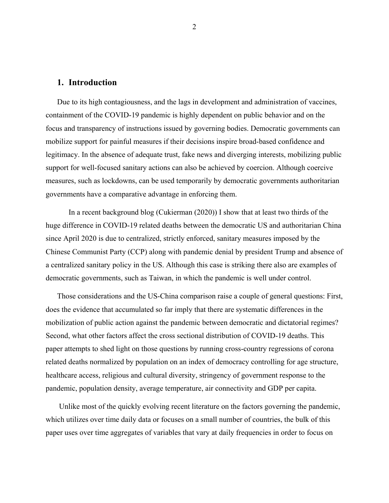#### **1. Introduction**

Due to its high contagiousness, and the lags in development and administration of vaccines, containment of the COVID-19 pandemic is highly dependent on public behavior and on the focus and transparency of instructions issued by governing bodies. Democratic governments can mobilize support for painful measures if their decisions inspire broad-based confidence and legitimacy. In the absence of adequate trust, fake news and diverging interests, mobilizing public support for well-focused sanitary actions can also be achieved by coercion. Although coercive measures, such as lockdowns, can be used temporarily by democratic governments authoritarian governments have a comparative advantage in enforcing them.

In a recent background blog (Cukierman (2020)) I show that at least two thirds of the huge difference in COVID-19 related deaths between the democratic US and authoritarian China since April 2020 is due to centralized, strictly enforced, sanitary measures imposed by the Chinese Communist Party (CCP) along with pandemic denial by president Trump and absence of a centralized sanitary policy in the US. Although this case is striking there also are examples of democratic governments, such as Taiwan, in which the pandemic is well under control.

Those considerations and the US-China comparison raise a couple of general questions: First, does the evidence that accumulated so far imply that there are systematic differences in the mobilization of public action against the pandemic between democratic and dictatorial regimes? Second, what other factors affect the cross sectional distribution of COVID-19 deaths. This paper attempts to shed light on those questions by running cross-country regressions of corona related deaths normalized by population on an index of democracy controlling for age structure, healthcare access, religious and cultural diversity, stringency of government response to the pandemic, population density, average temperature, air connectivity and GDP per capita.

Unlike most of the quickly evolving recent literature on the factors governing the pandemic, which utilizes over time daily data or focuses on a small number of countries, the bulk of this paper uses over time aggregates of variables that vary at daily frequencies in order to focus on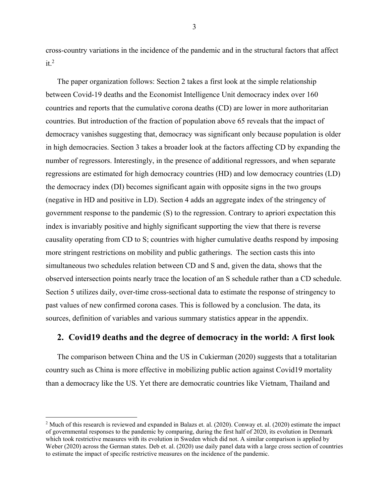cross-country variations in the incidence of the pandemic and in the structural factors that affect  $it.^2$ 

The paper organization follows: Section 2 takes a first look at the simple relationship between Covid-19 deaths and the Economist Intelligence Unit democracy index over 160 countries and reports that the cumulative corona deaths (CD) are lower in more authoritarian countries. But introduction of the fraction of population above 65 reveals that the impact of democracy vanishes suggesting that, democracy was significant only because population is older in high democracies. Section 3 takes a broader look at the factors affecting CD by expanding the number of regressors. Interestingly, in the presence of additional regressors, and when separate regressions are estimated for high democracy countries (HD) and low democracy countries (LD) the democracy index (DI) becomes significant again with opposite signs in the two groups (negative in HD and positive in LD). Section 4 adds an aggregate index of the stringency of government response to the pandemic (S) to the regression. Contrary to apriori expectation this index is invariably positive and highly significant supporting the view that there is reverse causality operating from CD to S; countries with higher cumulative deaths respond by imposing more stringent restrictions on mobility and public gatherings. The section casts this into simultaneous two schedules relation between CD and S and, given the data, shows that the observed intersection points nearly trace the location of an S schedule rather than a CD schedule. Section 5 utilizes daily, over-time cross-sectional data to estimate the response of stringency to past values of new confirmed corona cases. This is followed by a conclusion. The data, its sources, definition of variables and various summary statistics appear in the appendix.

#### **2. Covid19 deaths and the degree of democracy in the world: A first look**

The comparison between China and the US in Cukierman (2020) suggests that a totalitarian country such as China is more effective in mobilizing public action against Covid19 mortality than a democracy like the US. Yet there are democratic countries like Vietnam, Thailand and

 $\overline{a}$ 

3

<sup>&</sup>lt;sup>2</sup> Much of this research is reviewed and expanded in Balazs et. al.  $(2020)$ . Conway et. al.  $(2020)$  estimate the impact of governmental responses to the pandemic by comparing, during the first half of 2020, its evolution in Denmark which took restrictive measures with its evolution in Sweden which did not. A similar comparison is applied by Weber (2020) across the German states. Deb et. al. (2020) use daily panel data with a large cross section of countries to estimate the impact of specific restrictive measures on the incidence of the pandemic.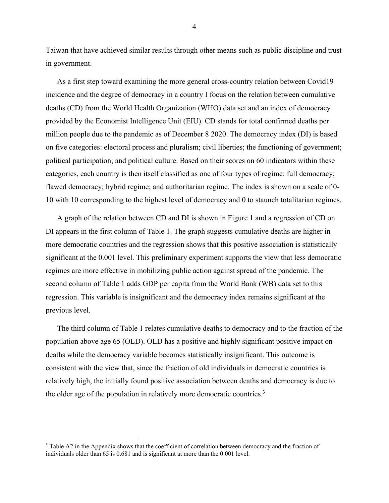Taiwan that have achieved similar results through other means such as public discipline and trust in government.

As a first step toward examining the more general cross-country relation between Covid19 incidence and the degree of democracy in a country I focus on the relation between cumulative deaths (CD) from the World Health Organization (WHO) data set and an index of democracy provided by the Economist Intelligence Unit (EIU). CD stands for total confirmed deaths per million people due to the pandemic as of December 8 2020. The democracy index (DI) is based on five categories: electoral process and pluralism; civil liberties; the functioning of government; political participation; and political culture. Based on their scores on 60 indicators within these categories, each country is then itself classified as one of four types of regime: full democracy; flawed democracy; hybrid regime; and authoritarian regime. The index is shown on a scale of 0- 10 with 10 corresponding to the highest level of democracy and 0 to staunch totalitarian regimes.

A graph of the relation between CD and DI is shown in Figure 1 and a regression of CD on DI appears in the first column of Table 1. The graph suggests cumulative deaths are higher in more democratic countries and the regression shows that this positive association is statistically significant at the 0.001 level. This preliminary experiment supports the view that less democratic regimes are more effective in mobilizing public action against spread of the pandemic. The second column of Table 1 adds GDP per capita from the World Bank (WB) data set to this regression. This variable is insignificant and the democracy index remains significant at the previous level.

The third column of Table 1 relates cumulative deaths to democracy and to the fraction of the population above age 65 (OLD). OLD has a positive and highly significant positive impact on deaths while the democracy variable becomes statistically insignificant. This outcome is consistent with the view that, since the fraction of old individuals in democratic countries is relatively high, the initially found positive association between deaths and democracy is due to the older age of the population in relatively more democratic countries.<sup>3</sup>

 $\overline{a}$ 

4

<sup>&</sup>lt;sup>3</sup> Table A2 in the Appendix shows that the coefficient of correlation between democracy and the fraction of individuals older than 65 is 0.681 and is significant at more than the 0.001 level.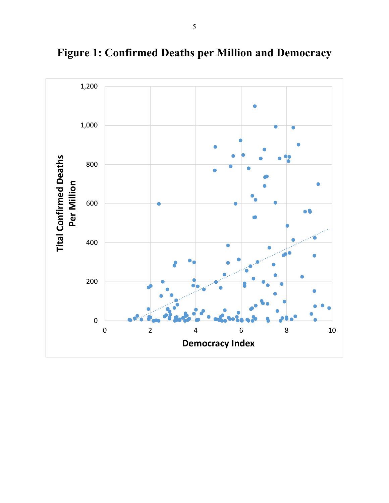

**Figure 1: Confirmed Deaths per Million and Democracy**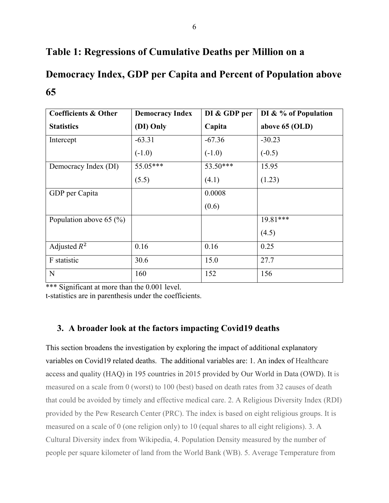# **Table 1: Regressions of Cumulative Deaths per Million on a**

# **Democracy Index, GDP per Capita and Percent of Population above 65**

| <b>Coefficients &amp; Other</b> | <b>Democracy Index</b> | DI & GDP per | DI & % of Population |
|---------------------------------|------------------------|--------------|----------------------|
| <b>Statistics</b>               | (DI) Only              | Capita       | above 65 (OLD)       |
| Intercept                       | $-63.31$               | $-67.36$     | $-30.23$             |
|                                 | $(-1.0)$               | $(-1.0)$     | $(-0.5)$             |
| Democracy Index (DI)            | 55.05***               | $53.50***$   | 15.95                |
|                                 | (5.5)                  | (4.1)        | (1.23)               |
| GDP per Capita                  |                        | 0.0008       |                      |
|                                 |                        | (0.6)        |                      |
| Population above 65 $(\% )$     |                        |              | $19.81***$           |
|                                 |                        |              | (4.5)                |
| Adjusted $R^2$                  | 0.16                   | 0.16         | 0.25                 |
| F statistic                     | 30.6                   | 15.0         | 27.7                 |
| N                               | 160                    | 152          | 156                  |

\*\*\* Significant at more than the 0.001 level.

t-statistics are in parenthesis under the coefficients.

### **3. A broader look at the factors impacting Covid19 deaths**

This section broadens the investigation by exploring the impact of additional explanatory variables on Covid19 related deaths. The additional variables are: 1. An index of Healthcare access and quality (HAQ) in 195 countries in 2015 provided by Our World in Data (OWD). It is measured on a scale from 0 (worst) to 100 (best) based on death rates from 32 causes of death that could be avoided by timely and effective medical care. 2. A Religious Diversity Index (RDI) provided by the Pew Research Center (PRC). The index is based on eight religious groups. It is measured on a scale of 0 (one religion only) to 10 (equal shares to all eight religions). 3. A Cultural Diversity index from Wikipedia, 4. Population Density measured by the number of people per square kilometer of land from the World Bank (WB). 5. Average Temperature from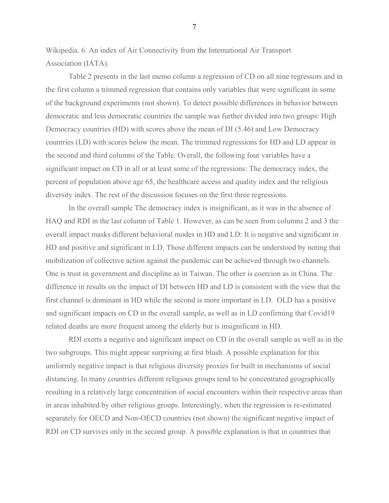Wikipedia. 6. An index of Air Connectivity from the International Air Transport Association (IATA).

Table 2 presents in the last memo column a regression of CD on all nine regressors and in the first column a trimmed regression that contains only variables that were significant in some of the background experiments (not shown). To detect possible differences in behavior between democratic and less democratic countries the sample was further divided into two groups: High Democracy countries (HD) with scores above the mean of DI (5.46) and Low Democracy countries (LD) with scores below the mean. The trimmed regressions for HD and LD appear in the second and third columns of the Table. Overall, the following four variables have a significant impact on CD in all or at least some of the regressions: The democracy index, the percent of population above age 65, the healthcare access and quality index and the religious diversity index. The rest of the discussion focuses on the first three regressions.

In the overall sample The democracy index is insignificant, as it was in the absence of HAQ and RDI in the last column of Table 1. However, as can be seen from columns 2 and 3 the overall impact masks different behavioral modes in HD and LD: It is negative and significant in HD and positive and significant in LD. Those different impacts can be understood by noting that mobilization of collective action against the pandemic can be achieved through two channels. One is trust in government and discipline as in Taiwan. The other is coercion as in China. The difference in results on the impact of DI between HD and LD is consistent with the view that the first channel is dominant in HD while the second is more important in LD. OLD has a positive and significant impacts on CD in the overall sample, as well as in LD confirming that Covid19 related deaths are more frequent among the elderly but is insignificant in HD.

RDI exerts a negative and significant impact on CD in the overall sample as well as in the two subgroups. This might appear surprising at first blush. A possible explanation for this uniformly negative impact is that religious diversity proxies for built in mechanisms of social distancing. In many countries different religious groups tend to be concentrated geographically resulting in a relatively large concentration of social encounters within their respective areas than in areas inhabited by other religious groups. Interestingly, when the regression is re-estimated separately for OECD and Non-OECD countries (not shown) the significant negative impact of RDI on CD survives only in the second group. A possible explanation is that in countries that

7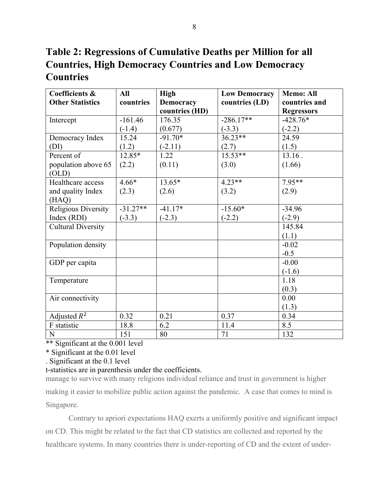**Table 2: Regressions of Cumulative Deaths per Million for all Countries, High Democracy Countries and Low Democracy Countries** 

| Coefficients &            | All        | <b>High</b>      | <b>Low Democracy</b> | <b>Memo: All</b>  |
|---------------------------|------------|------------------|----------------------|-------------------|
| <b>Other Statistics</b>   | countries  | <b>Democracy</b> | countries (LD)       | countries and     |
|                           |            | countries (HD)   |                      | <b>Regressors</b> |
| Intercept                 | $-161.46$  | 176.35           | $-286.17**$          | $-428.76*$        |
|                           | $(-1.4)$   | (0.677)          | $(-3.3)$             | $(-2.2)$          |
| Democracy Index           | 15.24      | $-91.70*$        | $36.23**$            | 24.59             |
| (DI)                      | (1.2)      | $(-2.11)$        | (2.7)                | (1.5)             |
| Percent of                | $12.85*$   | 1.22             | $15.53**$            | $13.16$ .         |
| population above 65       | (2.2)      | (0.11)           | (3.0)                | (1.66)            |
| (OLD)                     |            |                  |                      |                   |
| Healthcare access         | $4.66*$    | 13.65*           | $4.23**$             | $7.95**$          |
| and quality Index         | (2.3)      | (2.6)            | (3.2)                | (2.9)             |
| (HAQ)                     |            |                  |                      |                   |
| Religious Diversity       | $-31.27**$ | $-41.17*$        | $-15.60*$            | $-34.96$          |
| Index (RDI)               | $(-3.3)$   | $(-2.3)$         | $(-2.2)$             | $(-2.9)$          |
| <b>Cultural Diversity</b> |            |                  |                      | 145.84            |
|                           |            |                  |                      | (1.1)             |
| Population density        |            |                  |                      | $-0.02$           |
|                           |            |                  |                      | $-0.5$            |
| GDP per capita            |            |                  |                      | $-0.00$           |
|                           |            |                  |                      | $(-1.6)$          |
| Temperature               |            |                  |                      | 1.18              |
|                           |            |                  |                      | (0.3)             |
| Air connectivity          |            |                  |                      | 0.00              |
|                           |            |                  |                      | (1.3)             |
| Adjusted $R^2$            | 0.32       | 0.21             | 0.37                 | 0.34              |
| F statistic               | 18.8       | 6.2              | 11.4                 | 8.5               |
| ${\bf N}$                 | 151        | 80               | 71                   | 132               |

\*\* Significant at the 0.001 level

. Significant at the 0.1 level

#### t-statistics are in parenthesis under the coefficients.

manage to survive with many religions individual reliance and trust in government is higher making it easier to mobilize public action against the pandemic. A case that comes to mind is Singapore.

Contrary to apriori expectations HAQ exerts a uniformly positive and significant impact on CD. This might be related to the fact that CD statistics are collected and reported by the healthcare systems. In many countries there is under-reporting of CD and the extent of under-

<sup>\*</sup> Significant at the 0.01 level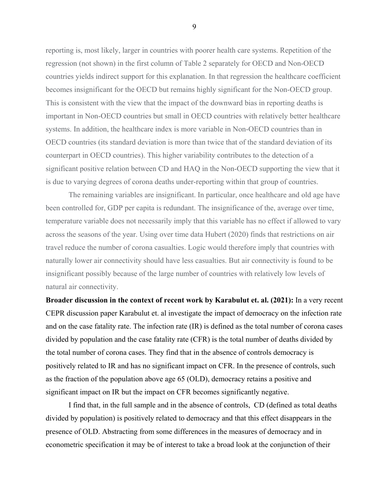reporting is, most likely, larger in countries with poorer health care systems. Repetition of the regression (not shown) in the first column of Table 2 separately for OECD and Non-OECD countries yields indirect support for this explanation. In that regression the healthcare coefficient becomes insignificant for the OECD but remains highly significant for the Non-OECD group. This is consistent with the view that the impact of the downward bias in reporting deaths is important in Non-OECD countries but small in OECD countries with relatively better healthcare systems. In addition, the healthcare index is more variable in Non-OECD countries than in OECD countries (its standard deviation is more than twice that of the standard deviation of its counterpart in OECD countries). This higher variability contributes to the detection of a significant positive relation between CD and HAQ in the Non-OECD supporting the view that it is due to varying degrees of corona deaths under-reporting within that group of countries.

 The remaining variables are insignificant. In particular, once healthcare and old age have been controlled for, GDP per capita is redundant. The insignificance of the, average over time, temperature variable does not necessarily imply that this variable has no effect if allowed to vary across the seasons of the year. Using over time data Hubert (2020) finds that restrictions on air travel reduce the number of corona casualties. Logic would therefore imply that countries with naturally lower air connectivity should have less casualties. But air connectivity is found to be insignificant possibly because of the large number of countries with relatively low levels of natural air connectivity.

**Broader discussion in the context of recent work by Karabulut et. al. (2021):** In a very recent CEPR discussion paper Karabulut et. al investigate the impact of democracy on the infection rate and on the case fatality rate. The infection rate (IR) is defined as the total number of corona cases divided by population and the case fatality rate (CFR) is the total number of deaths divided by the total number of corona cases. They find that in the absence of controls democracy is positively related to IR and has no significant impact on CFR. In the presence of controls, such as the fraction of the population above age 65 (OLD), democracy retains a positive and significant impact on IR but the impact on CFR becomes significantly negative.

I find that, in the full sample and in the absence of controls, CD (defined as total deaths divided by population) is positively related to democracy and that this effect disappears in the presence of OLD. Abstracting from some differences in the measures of democracy and in econometric specification it may be of interest to take a broad look at the conjunction of their

9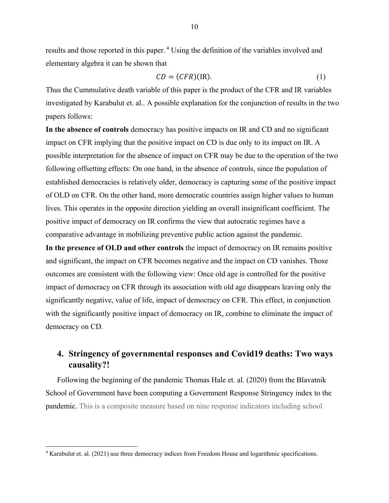results and those reported in this paper.<sup>4</sup> Using the definition of the variables involved and elementary algebra it can be shown that

$$
CD = (CFR)(IR). \tag{1}
$$

Thus the Cummulative death variable of this paper is the product of the CFR and IR variables investigated by Karabulut et. al.. A possible explanation for the conjunction of results in the two papers follows:

**In the absence of controls** democracy has positive impacts on IR and CD and no significant impact on CFR implying that the positive impact on CD is due only to its impact on IR. A possible interpretation for the absence of impact on CFR may be due to the operation of the two following offsetting effects: On one hand, in the absence of controls, since the population of established democracies is relatively older, democracy is capturing some of the positive impact of OLD on CFR. On the other hand, more democratic countries assign higher values to human lives. This operates in the opposite direction yielding an overall insignificant coefficient. The positive impact of democracy on IR confirms the view that autocratic regimes have a comparative advantage in mobilizing preventive public action against the pandemic.

**In the presence of OLD and other controls** the impact of democracy on IR remains positive and significant, the impact on CFR becomes negative and the impact on CD vanishes. Those outcomes are consistent with the following view: Once old age is controlled for the positive impact of democracy on CFR through its association with old age disappears leaving only the significantly negative, value of life, impact of democracy on CFR. This effect, in conjunction with the significantly positive impact of democracy on IR, combine to eliminate the impact of democracy on CD.

## **4. Stringency of governmental responses and Covid19 deaths: Two ways causality?!**

Following the beginning of the pandemic Thomas Hale et. al. (2020) from the Blavatnik School of Government have been computing a Government Response Stringency index to the pandemic. This is a composite measure based on nine response indicators including school

 $\overline{a}$ 

<sup>&</sup>lt;sup>4</sup> Karabulut et. al. (2021) use three democracy indices from Freedom House and logarithmic specifications.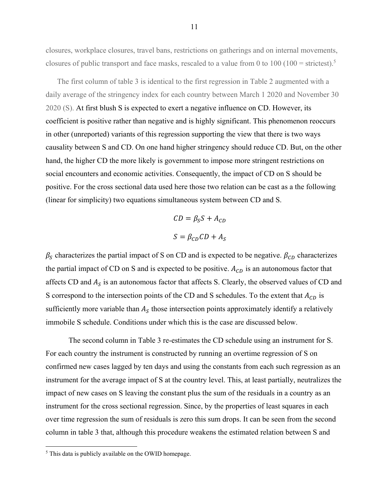closures, workplace closures, travel bans, restrictions on gatherings and on internal movements, closures of public transport and face masks, rescaled to a value from 0 to 100 (100 = strictest).<sup>5</sup>

The first column of table 3 is identical to the first regression in Table 2 augmented with a daily average of the stringency index for each country between March 1 2020 and November 30 2020 (S). At first blush S is expected to exert a negative influence on CD. However, its coefficient is positive rather than negative and is highly significant. This phenomenon reoccurs in other (unreported) variants of this regression supporting the view that there is two ways causality between S and CD. On one hand higher stringency should reduce CD. But, on the other hand, the higher CD the more likely is government to impose more stringent restrictions on social encounters and economic activities. Consequently, the impact of CD on S should be positive. For the cross sectional data used here those two relation can be cast as a the following (linear for simplicity) two equations simultaneous system between CD and S.

$$
CD = \beta_S S + A_{CD}
$$

$$
S = \beta_{CD} CD + A_S
$$

 $\beta_S$  characterizes the partial impact of S on CD and is expected to be negative.  $\beta_{CD}$  characterizes the partial impact of CD on S and is expected to be positive.  $A_{CD}$  is an autonomous factor that affects CD and  $A_S$  is an autonomous factor that affects S. Clearly, the observed values of CD and S correspond to the intersection points of the CD and S schedules. To the extent that  $A_{CD}$  is sufficiently more variable than  $A<sub>S</sub>$  those intersection points approximately identify a relatively immobile S schedule. Conditions under which this is the case are discussed below.

The second column in Table 3 re-estimates the CD schedule using an instrument for S. For each country the instrument is constructed by running an overtime regression of S on confirmed new cases lagged by ten days and using the constants from each such regression as an instrument for the average impact of S at the country level. This, at least partially, neutralizes the impact of new cases on S leaving the constant plus the sum of the residuals in a country as an instrument for the cross sectional regression. Since, by the properties of least squares in each over time regression the sum of residuals is zero this sum drops. It can be seen from the second column in table 3 that, although this procedure weakens the estimated relation between S and

 $\overline{a}$ 

<sup>&</sup>lt;sup>5</sup> This data is publicly available on the OWID homepage.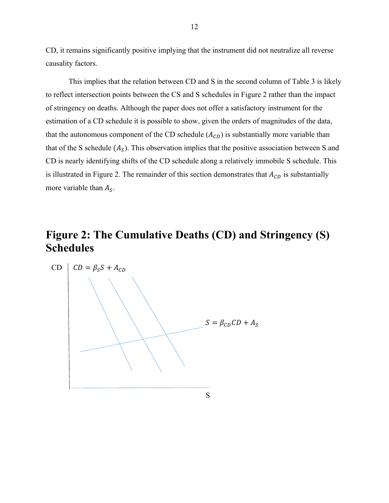CD, it remains significantly positive implying that the instrument did not neutralize all reverse causality factors.

This implies that the relation between CD and S in the second column of Table 3 is likely to reflect intersection points between the CS and S schedules in Figure 2 rather than the impact of stringency on deaths. Although the paper does not offer a satisfactory instrument for the estimation of a CD schedule it is possible to show, given the orders of magnitudes of the data, that the autonomous component of the CD schedule  $(A_{CD})$  is substantially more variable than that of the S schedule  $(A_S)$ . This observation implies that the positive association between S and CD is nearly identifying shifts of the CD schedule along a relatively immobile S schedule. This is illustrated in Figure 2. The remainder of this section demonstrates that  $A_{CD}$  is substantially more variable than  $A<sub>S</sub>$ .

# **Figure 2: The Cumulative Deaths (CD) and Stringency (S) Schedules**

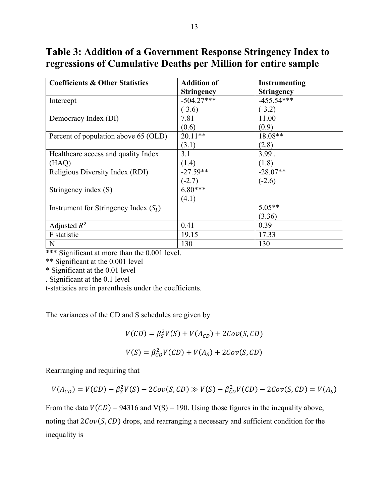**Table 3: Addition of a Government Response Stringency Index to regressions of Cumulative Deaths per Million for entire sample** 

| <b>Coefficients &amp; Other Statistics</b> | <b>Addition of</b> | <b>Instrumenting</b> |
|--------------------------------------------|--------------------|----------------------|
|                                            | <b>Stringency</b>  | <b>Stringency</b>    |
| Intercept                                  | $-504.27***$       | $-455.54***$         |
|                                            | $(-3.6)$           | $(-3.2)$             |
| Democracy Index (DI)                       | 7.81               | 11.00                |
|                                            | (0.6)              | (0.9)                |
| Percent of population above 65 (OLD)       | $20.11**$          | 18.08**              |
|                                            | (3.1)              | (2.8)                |
| Healthcare access and quality Index        | 3.1                | 3.99.                |
| (HAQ)                                      | (1.4)              | (1.8)                |
| Religious Diversity Index (RDI)            | $-27.59**$         | $-28.07**$           |
|                                            | $(-2.7)$           | $(-2.6)$             |
| Stringency index (S)                       | $6.80***$          |                      |
|                                            | (4.1)              |                      |
| Instrument for Stringency Index $(SI)$     |                    | $5.05**$             |
|                                            |                    | (3.36)               |
| Adjusted $R^2$                             | 0.41               | 0.39                 |
| F statistic                                | 19.15              | 17.33                |
| N                                          | 130                | 130                  |

\*\*\* Significant at more than the 0.001 level.

\*\* Significant at the 0.001 level

\* Significant at the 0.01 level

. Significant at the 0.1 level

t-statistics are in parenthesis under the coefficients.

The variances of the CD and S schedules are given by

$$
V(CD) = \beta_S^2 V(S) + V(A_{CD}) + 2Cov(S, CD)
$$
  

$$
V(S) = \beta_{CD}^2 V(CD) + V(A_S) + 2Cov(S, CD)
$$

Rearranging and requiring that

$$
V(A_{CD})=V(CD)-\beta_S^2V(S)-2Cov(S,CD)\gg V(S)-\beta_{CD}^2V(CD)-2Cov(S,CD)=V(A_S)
$$

From the data  $V(CD) = 94316$  and  $V(S) = 190$ . Using those figures in the inequality above, noting that  $2Cov(S, CD)$  drops, and rearranging a necessary and sufficient condition for the inequality is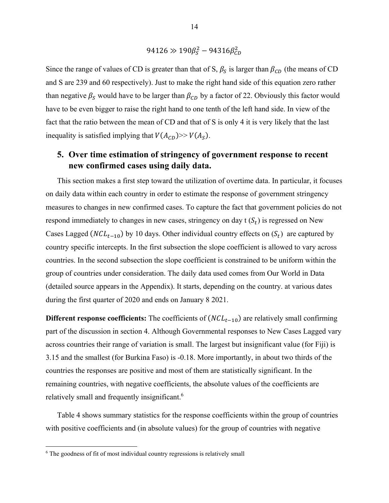$$
94126 \gg 190 \beta_S^2 - 94316 \beta_{CD}^2
$$

Since the range of values of CD is greater than that of S,  $\beta_S$  is larger than  $\beta_{CD}$  (the means of CD and S are 239 and 60 respectively). Just to make the right hand side of this equation zero rather than negative  $\beta_S$  would have to be larger than  $\beta_{CD}$  by a factor of 22. Obviously this factor would have to be even bigger to raise the right hand to one tenth of the left hand side. In view of the fact that the ratio between the mean of CD and that of S is only 4 it is very likely that the last inequality is satisfied implying that  $V(A_{CD})>> V(A_S)$ .

### **5. Over time estimation of stringency of government response to recent new confirmed cases using daily data.**

This section makes a first step toward the utilization of overtime data. In particular, it focuses on daily data within each country in order to estimate the response of government stringency measures to changes in new confirmed cases. To capture the fact that government policies do not respond immediately to changes in new cases, stringency on day  $t(S_t)$  is regressed on New Cases Lagged ( $NCL_{t-10}$ ) by 10 days. Other individual country effects on  $(S_t)$  are captured by country specific intercepts. In the first subsection the slope coefficient is allowed to vary across countries. In the second subsection the slope coefficient is constrained to be uniform within the group of countries under consideration. The daily data used comes from Our World in Data (detailed source appears in the Appendix). It starts, depending on the country. at various dates during the first quarter of 2020 and ends on January 8 2021.

**Different response coefficients:** The coefficients of  $(NCL_{t-10})$  are relatively small confirming part of the discussion in section 4. Although Governmental responses to New Cases Lagged vary across countries their range of variation is small. The largest but insignificant value (for Fiji) is 3.15 and the smallest (for Burkina Faso) is -0.18. More importantly, in about two thirds of the countries the responses are positive and most of them are statistically significant. In the remaining countries, with negative coefficients, the absolute values of the coefficients are relatively small and frequently insignificant.<sup>6</sup>

Table 4 shows summary statistics for the response coefficients within the group of countries with positive coefficients and (in absolute values) for the group of countries with negative

 $\overline{a}$ 

<sup>&</sup>lt;sup>6</sup> The goodness of fit of most individual country regressions is relatively small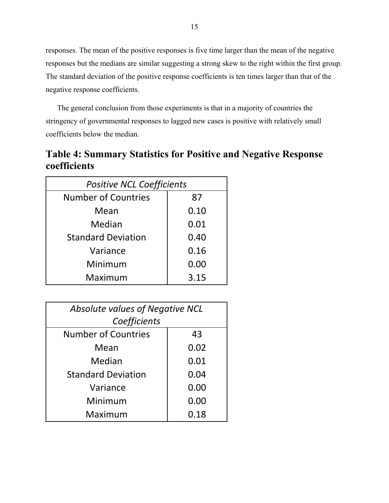responses. The mean of the positive responses is five time larger than the mean of the negative responses but the medians are similar suggesting a strong skew to the right within the first group. The standard deviation of the positive response coefficients is ten times larger than that of the negative response coefficients.

The general conclusion from those experiments is that in a majority of countries the stringency of governmental responses to lagged new cases is positive with relatively small coefficients below the median.

**Table 4: Summary Statistics for Positive and Negative Response coefficients** 

| <b>Positive NCL Coefficients</b> |      |  |  |  |  |  |  |
|----------------------------------|------|--|--|--|--|--|--|
| <b>Number of Countries</b>       | 87   |  |  |  |  |  |  |
| Mean                             | 0.10 |  |  |  |  |  |  |
| Median                           | 0.01 |  |  |  |  |  |  |
| <b>Standard Deviation</b>        | 0.40 |  |  |  |  |  |  |
| Variance                         | 0.16 |  |  |  |  |  |  |
| Minimum                          | 0.00 |  |  |  |  |  |  |
| Maximum                          | 3.15 |  |  |  |  |  |  |

| <b>Absolute values of Negative NCL</b> |      |  |  |  |  |  |  |  |
|----------------------------------------|------|--|--|--|--|--|--|--|
| Coefficients                           |      |  |  |  |  |  |  |  |
| <b>Number of Countries</b>             | 43   |  |  |  |  |  |  |  |
| Mean                                   | 0.02 |  |  |  |  |  |  |  |
| Median                                 | 0.01 |  |  |  |  |  |  |  |
| <b>Standard Deviation</b>              | 0.04 |  |  |  |  |  |  |  |
| Variance                               | 0.00 |  |  |  |  |  |  |  |
| Minimum                                | 0.00 |  |  |  |  |  |  |  |
| Maximum                                | 0.18 |  |  |  |  |  |  |  |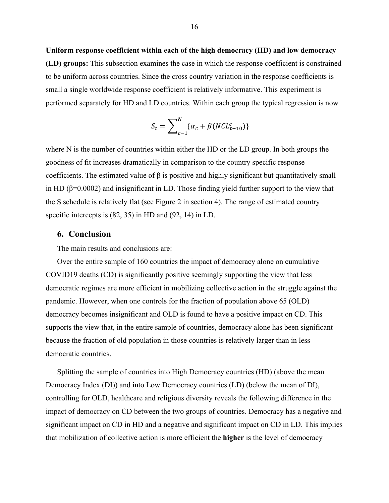**Uniform response coefficient within each of the high democracy (HD) and low democracy (LD) groups:** This subsection examines the case in which the response coefficient is constrained to be uniform across countries. Since the cross country variation in the response coefficients is small a single worldwide response coefficient is relatively informative. This experiment is performed separately for HD and LD countries. Within each group the typical regression is now

$$
S_t = \sum_{c-1}^{N} \{ \alpha_c + \beta (NCL_{t-10}^c) \}
$$

where N is the number of countries within either the HD or the LD group. In both groups the goodness of fit increases dramatically in comparison to the country specific response coefficients. The estimated value of  $\beta$  is positive and highly significant but quantitatively small in HD (β=0.0002) and insignificant in LD. Those finding yield further support to the view that the S schedule is relatively flat (see Figure 2 in section 4). The range of estimated country specific intercepts is (82, 35) in HD and (92, 14) in LD.

#### **6. Conclusion**

The main results and conclusions are:

Over the entire sample of 160 countries the impact of democracy alone on cumulative COVID19 deaths (CD) is significantly positive seemingly supporting the view that less democratic regimes are more efficient in mobilizing collective action in the struggle against the pandemic. However, when one controls for the fraction of population above 65 (OLD) democracy becomes insignificant and OLD is found to have a positive impact on CD. This supports the view that, in the entire sample of countries, democracy alone has been significant because the fraction of old population in those countries is relatively larger than in less democratic countries.

Splitting the sample of countries into High Democracy countries (HD) (above the mean Democracy Index (DI)) and into Low Democracy countries (LD) (below the mean of DI), controlling for OLD, healthcare and religious diversity reveals the following difference in the impact of democracy on CD between the two groups of countries. Democracy has a negative and significant impact on CD in HD and a negative and significant impact on CD in LD. This implies that mobilization of collective action is more efficient the **higher** is the level of democracy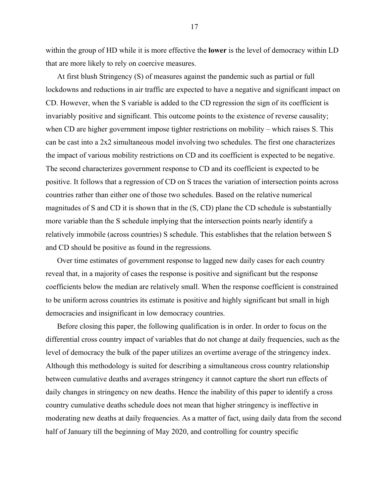within the group of HD while it is more effective the **lower** is the level of democracy within LD that are more likely to rely on coercive measures.

At first blush Stringency (S) of measures against the pandemic such as partial or full lockdowns and reductions in air traffic are expected to have a negative and significant impact on CD. However, when the S variable is added to the CD regression the sign of its coefficient is invariably positive and significant. This outcome points to the existence of reverse causality; when CD are higher government impose tighter restrictions on mobility – which raises S. This can be cast into a 2x2 simultaneous model involving two schedules. The first one characterizes the impact of various mobility restrictions on CD and its coefficient is expected to be negative. The second characterizes government response to CD and its coefficient is expected to be positive. It follows that a regression of CD on S traces the variation of intersection points across countries rather than either one of those two schedules. Based on the relative numerical magnitudes of S and CD it is shown that in the (S, CD) plane the CD schedule is substantially more variable than the S schedule implying that the intersection points nearly identify a relatively immobile (across countries) S schedule. This establishes that the relation between S and CD should be positive as found in the regressions.

Over time estimates of government response to lagged new daily cases for each country reveal that, in a majority of cases the response is positive and significant but the response coefficients below the median are relatively small. When the response coefficient is constrained to be uniform across countries its estimate is positive and highly significant but small in high democracies and insignificant in low democracy countries.

Before closing this paper, the following qualification is in order. In order to focus on the differential cross country impact of variables that do not change at daily frequencies, such as the level of democracy the bulk of the paper utilizes an overtime average of the stringency index. Although this methodology is suited for describing a simultaneous cross country relationship between cumulative deaths and averages stringency it cannot capture the short run effects of daily changes in stringency on new deaths. Hence the inability of this paper to identify a cross country cumulative deaths schedule does not mean that higher stringency is ineffective in moderating new deaths at daily frequencies. As a matter of fact, using daily data from the second half of January till the beginning of May 2020, and controlling for country specific

17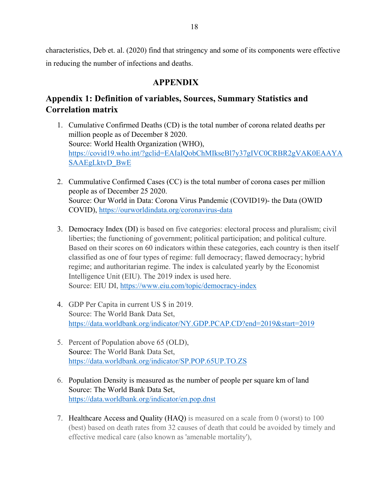characteristics, Deb et. al. (2020) find that stringency and some of its components were effective in reducing the number of infections and deaths.

#### **APPENDIX**

## **Appendix 1: Definition of variables, Sources, Summary Statistics and Correlation matrix**

- 1. Cumulative Confirmed Deaths (CD) is the total number of corona related deaths per million people as of December 8 2020. Source: World Health Organization (WHO), https://covid19.who.int/?gclid=EAIaIQobChMIkseBl7y37gIVC0CRBR2gVAK0EAAYA SAAEgLktvD\_BwE
- 2. Cummulative Confirmed Cases (CC) is the total number of corona cases per million people as of December 25 2020. Source: Our World in Data: Corona Virus Pandemic (COVID19)- the Data (OWID COVID), https://ourworldindata.org/coronavirus-data
- 3. Democracy Index (DI) is based on five categories: electoral process and pluralism; civil liberties; the functioning of government; political participation; and political culture. Based on their scores on 60 indicators within these categories, each country is then itself classified as one of four types of regime: full democracy; flawed democracy; hybrid regime; and authoritarian regime. The index is calculated yearly by the Economist Intelligence Unit (EIU). The 2019 index is used here. Source: EIU DI, https://www.eiu.com/topic/democracy-index
- 4. GDP Per Capita in current US \$ in 2019. Source: The World Bank Data Set, https://data.worldbank.org/indicator/NY.GDP.PCAP.CD?end=2019&start=2019
- 5. Percent of Population above 65 (OLD), Source: The World Bank Data Set, https://data.worldbank.org/indicator/SP.POP.65UP.TO.ZS
- 6. Population Density is measured as the number of people per square km of land Source: The World Bank Data Set, https://data.worldbank.org/indicator/en.pop.dnst
- 7. Healthcare Access and Quality (HAQ) is measured on a scale from 0 (worst) to 100 (best) based on death rates from 32 causes of death that could be avoided by timely and effective medical care (also known as 'amenable mortality'),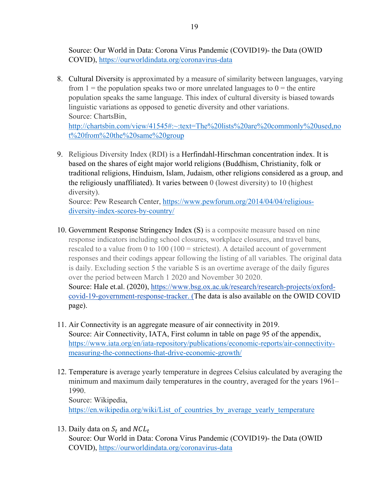Source: Our World in Data: Corona Virus Pandemic (COVID19)- the Data (OWID COVID), https://ourworldindata.org/coronavirus-data

8. Cultural Diversity is approximated by a measure of similarity between languages, varying from  $1 =$  the population speaks two or more unrelated languages to  $0 =$  the entire population speaks the same language. This index of cultural diversity is biased towards linguistic variations as opposed to genetic diversity and other variations. Source: ChartsBin,

http://chartsbin.com/view/41545#:~:text=The%20lists%20are%20commonly%20used,no t%20from%20the%20same%20group

9. Religious Diversity Index (RDI) is a Herfindahl-Hirschman concentration index. It is based on the shares of eight major world religions (Buddhism, Christianity, folk or traditional religions, Hinduism, Islam, Judaism, other religions considered as a group, and the religiously unaffiliated). It varies between 0 (lowest diversity) to 10 (highest diversity).

Source: Pew Research Center, https://www.pewforum.org/2014/04/04/religiousdiversity-index-scores-by-country/

- 10. Government Response Stringency Index (S) is a composite measure based on nine response indicators including school closures, workplace closures, and travel bans, rescaled to a value from 0 to  $100 (100 = \text{strictest})$ . A detailed account of government responses and their codings appear following the listing of all variables. The original data is daily. Excluding section 5 the variable S is an overtime average of the daily figures over the period between March 1 2020 and November 30 2020. Source: Hale et.al. (2020), https://www.bsg.ox.ac.uk/research/research-projects/oxfordcovid-19-government-response-tracker. (The data is also available on the OWID COVID page).
- 11. Air Connectivity is an aggregate measure of air connectivity in 2019. Source: Air Connectivity, IATA, First column in table on page 95 of the appendix, https://www.iata.org/en/iata-repository/publications/economic-reports/air-connectivitymeasuring-the-connections-that-drive-economic-growth/
- 12. Temperature is average yearly temperature in degrees Celsius calculated by averaging the minimum and maximum daily temperatures in the country, averaged for the years 1961– 1990. Source: Wikipedia, https://en.wikipedia.org/wiki/List\_of\_countries\_by\_average\_yearly\_temperature
- 13. Daily data on  $S_t$  and  $NCL_t$ Source: Our World in Data: Corona Virus Pandemic (COVID19)- the Data (OWID COVID), https://ourworldindata.org/coronavirus-data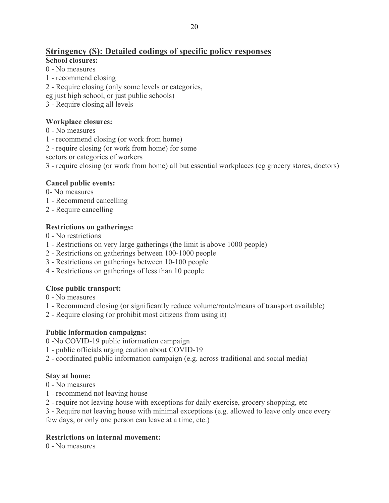## **Stringency (S): Detailed codings of specific policy responses**

#### **School closures:**

- 0 No measures
- 1 recommend closing
- 2 Require closing (only some levels or categories,
- eg just high school, or just public schools)
- 3 Require closing all levels

#### **Workplace closures:**

- 0 No measures
- 1 recommend closing (or work from home)
- 2 require closing (or work from home) for some

sectors or categories of workers

3 - require closing (or work from home) all but essential workplaces (eg grocery stores, doctors)

### **Cancel public events:**

- 0- No measures
- 1 Recommend cancelling
- 2 Require cancelling

#### **Restrictions on gatherings:**

- 0 No restrictions
- 1 Restrictions on very large gatherings (the limit is above 1000 people)
- 2 Restrictions on gatherings between 100-1000 people
- 3 Restrictions on gatherings between 10-100 people
- 4 Restrictions on gatherings of less than 10 people

#### **Close public transport:**

- 0 No measures
- 1 Recommend closing (or significantly reduce volume/route/means of transport available)
- 2 Require closing (or prohibit most citizens from using it)

#### **Public information campaigns:**

- 0 -No COVID-19 public information campaign
- 1 public officials urging caution about COVID-19
- 2 coordinated public information campaign (e.g. across traditional and social media)

#### **Stay at home:**

- 0 No measures
- 1 recommend not leaving house
- 2 require not leaving house with exceptions for daily exercise, grocery shopping, etc
- 3 Require not leaving house with minimal exceptions (e.g. allowed to leave only once every few days, or only one person can leave at a time, etc.)

## **Restrictions on internal movement:**

0 - No measures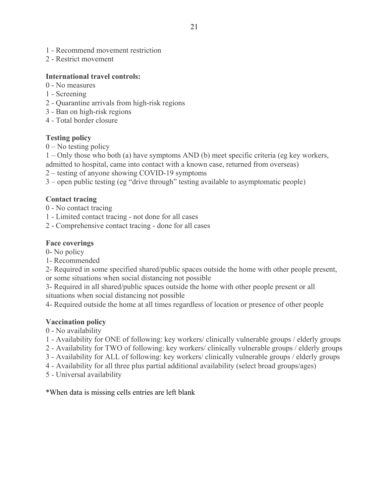- 1 Recommend movement restriction
- 2 Restrict movement

#### **International travel controls:**

- 0 No measures
- 1 Screening
- 2 Quarantine arrivals from high-risk regions
- 3 Ban on high-risk regions
- 4 Total border closure

#### **Testing policy**

 $0$  – No testing policy

1 – Only those who both (a) have symptoms AND (b) meet specific criteria (eg key workers, admitted to hospital, came into contact with a known case, returned from overseas)

2 – testing of anyone showing COVID-19 symptoms

3 – open public testing (eg "drive through" testing available to asymptomatic people)

#### **Contact tracing**

- 0 No contact tracing
- 1 Limited contact tracing not done for all cases
- 2 Comprehensive contact tracing done for all cases

#### **Face coverings**

- 0- No policy
- 1- Recommended

2- Required in some specified shared/public spaces outside the home with other people present, or some situations when social distancing not possible

3- Required in all shared/public spaces outside the home with other people present or all situations when social distancing not possible

4- Required outside the home at all times regardless of location or presence of other people

#### **Vaccination policy**

0 - No availability

- 1 Availability for ONE of following: key workers/ clinically vulnerable groups / elderly groups
- 2 Availability for TWO of following: key workers/ clinically vulnerable groups / elderly groups
- 3 Availability for ALL of following: key workers/ clinically vulnerable groups / elderly groups
- 4 Availability for all three plus partial additional availability (select broad groups/ages)
- 5 Universal availability

\*When data is missing cells entries are left blank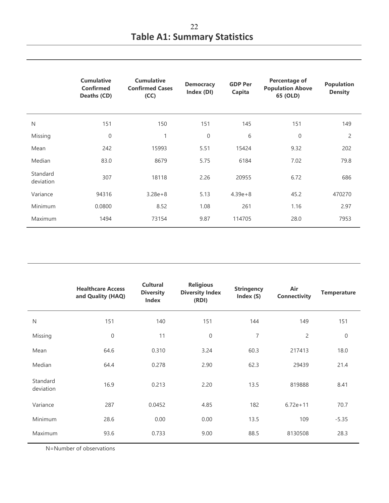|                       | <b>Cumulative</b><br><b>Confirmed</b><br>Deaths (CD) | <b>Cumulative</b><br><b>Confirmed Cases</b><br>(CC) | <b>Democracy</b><br>Index (DI) | <b>GDP Per</b><br>Capita | <b>Percentage of</b><br><b>Population Above</b><br>65 (OLD) | <b>Population</b><br><b>Density</b> |
|-----------------------|------------------------------------------------------|-----------------------------------------------------|--------------------------------|--------------------------|-------------------------------------------------------------|-------------------------------------|
| N                     | 151                                                  | 150                                                 | 151                            | 145                      | 151                                                         | 149                                 |
| Missing               | $\overline{0}$                                       | 1                                                   | $\mathsf{O}\xspace$            | 6                        | $\mathbf 0$                                                 | $\overline{c}$                      |
| Mean                  | 242                                                  | 15993                                               | 5.51                           | 15424                    | 9.32                                                        | 202                                 |
| Median                | 83.0                                                 | 8679                                                | 5.75                           | 6184                     | 7.02                                                        | 79.8                                |
| Standard<br>deviation | 307                                                  | 18118                                               | 2.26                           | 20955                    | 6.72                                                        | 686                                 |
| Variance              | 94316                                                | $3.28e + 8$                                         | 5.13                           | $4.39e + 8$              | 45.2                                                        | 470270                              |
| Minimum               | 0.0800                                               | 8.52                                                | 1.08                           | 261                      | 1.16                                                        | 2.97                                |
| Maximum               | 1494                                                 | 73154                                               | 9.87                           | 114705                   | 28.0                                                        | 7953                                |

|                       | <b>Healthcare Access</b><br>and Quality (HAQ) | <b>Cultural</b><br><b>Diversity</b><br><b>Index</b> | <b>Religious</b><br><b>Diversity Index</b><br>(RDI) | <b>Stringency</b><br>Index (S) | Air<br><b>Connectivity</b> | <b>Temperature</b> |
|-----------------------|-----------------------------------------------|-----------------------------------------------------|-----------------------------------------------------|--------------------------------|----------------------------|--------------------|
| $\mathsf{N}$          | 151                                           | 140                                                 | 151                                                 | 144                            | 149                        | 151                |
| Missing               | $\mathbf{0}$                                  | 11                                                  | $\mathbf{0}$                                        | $\overline{7}$                 | $\overline{2}$             | $\overline{0}$     |
| Mean                  | 64.6                                          | 0.310                                               | 3.24                                                | 60.3                           | 217413                     | 18.0               |
| Median                | 64.4                                          | 0.278                                               | 2.90                                                | 62.3                           | 29439                      | 21.4               |
| Standard<br>deviation | 16.9                                          | 0.213                                               | 2.20                                                | 13.5                           | 819888                     | 8.41               |
| Variance              | 287                                           | 0.0452                                              | 4.85                                                | 182                            | $6.72e + 11$               | 70.7               |
| Minimum               | 28.6                                          | 0.00                                                | 0.00                                                | 13.5                           | 109                        | $-5.35$            |
| Maximum               | 93.6                                          | 0.733                                               | 9.00                                                | 88.5                           | 8130508                    | 28.3               |

N=Number of observations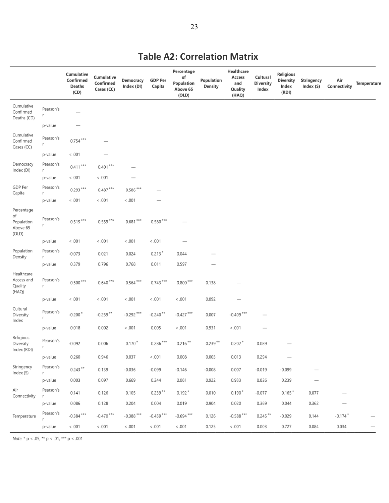# **Table A2: Correlation Matrix**

|                                              |                | Cumulative<br>Confirmed<br><b>Deaths</b><br>(CD) | Cumulative<br>Confirmed<br>Cases (CC) | Democracy<br>Index (DI) | <b>GDP Per</b><br>Capita | Percentage<br>of<br>Population<br>Above 65<br>(OLD) | Population<br><b>Density</b> | Healthcare<br>Access<br>and<br>Quality<br>(HAQ) | Cultural<br><b>Diversity</b><br>Index | <b>Religious</b><br><b>Diversity</b><br>Index<br>(RDI) | Stringency<br>Index (S) | Air<br>Connectivity   | <b>Temperature</b> |
|----------------------------------------------|----------------|--------------------------------------------------|---------------------------------------|-------------------------|--------------------------|-----------------------------------------------------|------------------------------|-------------------------------------------------|---------------------------------------|--------------------------------------------------------|-------------------------|-----------------------|--------------------|
| Cumulative<br>Confirmed<br>Deaths (CD)       | Pearson's<br>r | ----                                             |                                       |                         |                          |                                                     |                              |                                                 |                                       |                                                        |                         |                       |                    |
|                                              | p-value        |                                                  |                                       |                         |                          |                                                     |                              |                                                 |                                       |                                                        |                         |                       |                    |
| Cumulative<br>Confirmed<br>Cases (CC)        | Pearson's<br>r | $0.754***$                                       |                                       |                         |                          |                                                     |                              |                                                 |                                       |                                                        |                         |                       |                    |
|                                              | p-value        | < 0.001                                          |                                       |                         |                          |                                                     |                              |                                                 |                                       |                                                        |                         |                       |                    |
| Democracy<br>Index (DI)                      | Pearson's<br>r | $0.411***$                                       | $0.401***$                            |                         |                          |                                                     |                              |                                                 |                                       |                                                        |                         |                       |                    |
|                                              | p-value        | < 0.001                                          | < .001                                |                         |                          |                                                     |                              |                                                 |                                       |                                                        |                         |                       |                    |
| GDP Per<br>Capita                            | Pearson's<br>r | $0.293***$                                       | $0.487***$                            | $0.586***$              |                          |                                                     |                              |                                                 |                                       |                                                        |                         |                       |                    |
|                                              | p-value        | < 0.01                                           | < 0.001                               | < 0.001                 |                          |                                                     |                              |                                                 |                                       |                                                        |                         |                       |                    |
| Percentage                                   |                |                                                  |                                       |                         |                          |                                                     |                              |                                                 |                                       |                                                        |                         |                       |                    |
| of<br>Population<br>Above 65<br>(OLD)        | Pearson's<br>r | $0.515***$                                       | $0.559***$                            | $0.681***$              | $0.580***$               |                                                     |                              |                                                 |                                       |                                                        |                         |                       |                    |
|                                              | p-value        | < .001                                           | < .001                                | < .001                  | < 0.001                  |                                                     |                              |                                                 |                                       |                                                        |                         |                       |                    |
| Population<br>Density                        | Pearson's<br>r | $-0.073$                                         | 0.021                                 | 0.024                   | $0.213*$                 | 0.044                                               |                              |                                                 |                                       |                                                        |                         |                       |                    |
|                                              | p-value        | 0.379                                            | 0.796                                 | 0.768                   | 0.011                    | 0.597                                               | -                            |                                                 |                                       |                                                        |                         |                       |                    |
| Healthcare<br>Access and<br>Quality<br>(HAQ) | Pearson's<br>r | $0.500***$                                       | $0.640***$                            | $0.564***$              | $0.743***$               | $0.800***$                                          | 0.138                        |                                                 |                                       |                                                        |                         |                       |                    |
|                                              | p-value        | < 0.01                                           | < 0.001                               | < 0.01                  | < 0.001                  | < .001                                              | 0.092                        |                                                 |                                       |                                                        |                         |                       |                    |
| Cultural<br>Diversity<br>Index               | Pearson's<br>r | $-0.200*$                                        | $-0.259**$                            | $-0.292***$             | $-0.240**$               | $-0.427***$                                         | 0.007                        | $-0.409***$                                     |                                       |                                                        |                         |                       |                    |
|                                              | p-value        | 0.018                                            | 0.002                                 | < 0.001                 | 0.005                    | < .001                                              | 0.931                        | < .001                                          |                                       |                                                        |                         |                       |                    |
| Religious<br>Diversity<br>Index (RDI)        | Pearson's      | $-0.092$                                         | 0.006                                 | $0.170*$                | $0.286***$               | $0.216***$                                          | $0.239**$                    | $0.202*$                                        | 0.089                                 |                                                        |                         |                       |                    |
|                                              | p-value        | 0.260                                            | 0.946                                 | 0.037                   | < 0.001                  | 0.008                                               | 0.003                        | 0.013                                           | 0.294                                 |                                                        |                         |                       |                    |
| Stringency<br>Index (S)                      | Pearson's<br>r | $0.243**$                                        | 0.139                                 | $-0.036$                | $-0.099$                 | $-0.146$                                            | $-0.008$                     | 0.007                                           | $-0.019$                              | $-0.099$                                               |                         |                       |                    |
|                                              | p-value        | 0.003                                            | 0.097                                 | 0.669                   | 0.244                    | 0.081                                               | 0.922                        | 0.933                                           | 0.826                                 | 0.239                                                  | $\hspace{0.05cm}$       |                       |                    |
| Air<br>Connectivity                          | Pearson's<br>r | 0.141                                            | 0.126                                 | 0.105                   | $0.239***$               | $0.192*$                                            | 0.010                        | $0.190*$                                        | $-0.077$                              | $0.165*$                                               | 0.077                   | $\qquad \qquad$       |                    |
|                                              | p-value        | 0.086                                            | 0.128                                 | 0.204                   | 0.004                    | 0.019                                               | 0.904                        | 0.020                                           | 0.369                                 | 0.044                                                  | 0.362                   |                       |                    |
| Temperature                                  | Pearson's      | $-0.384***$                                      | $-0.470$ ***                          | $-0.388$ ***            | $-0.459$ ***             | $-0.694$ ***                                        | 0.126                        | $-0.588$ ***                                    | $0.245***$                            | $-0.029$                                               | 0.144                   | $-0.174$ <sup>*</sup> |                    |
|                                              | p-value        | 001                                              | < 0.001                               | < .001                  | < 0.01                   | < 0.001                                             | 0.125                        | < .001                                          | 0.003                                 | 0.727                                                  | 0.084                   | 0.034                 |                    |

Note. \* p < .05, \*\* p < .01, \*\*\* p < .001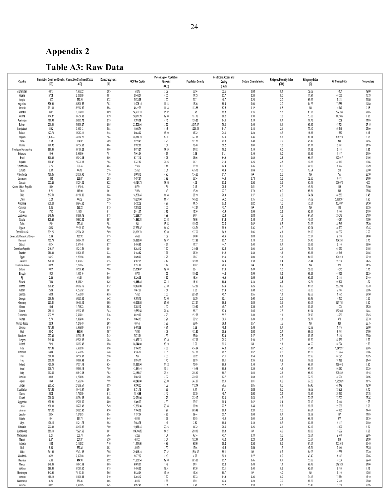# **Appendix 2**

**Table A3: Raw Data** 

| Country                                 |                  | Cumulative Confirmed Deaths Cumulative Confirmed Cases | Democracy Index | <b>GDP Per Capita</b>   | Percentage of Population<br>Above 65 | <b>Population Density</b> | <b>Healthcare Access and</b> | <b>Cultural Diversity Index</b> | Religious Diversity Index | <b>Stringency Index</b>   | <b>Air Connectivity</b> | Temperature    |
|-----------------------------------------|------------------|--------------------------------------------------------|-----------------|-------------------------|--------------------------------------|---------------------------|------------------------------|---------------------------------|---------------------------|---------------------------|-------------------------|----------------|
|                                         | (CD)             | (CC)                                                   | (DI)            |                         | (OLD)                                |                           | Quality<br>(HAQ)             |                                 | (RDI)                     | $\left( \text{S} \right)$ |                         |                |
| Afghanistan                             | 48.17            | 1,305.22                                               | 2.85            | 502.12                  | 2.62                                 | 56.94                     | 32.5                         | 0.68                            | 0.1                       | 52.02                     | 13,131                  | 12.60          |
| Algeria<br>Angola                       | 57.38<br>10.77   | 2,222.09<br>520.26                                     | 4.01<br>3.72    | 3,948.34<br>2,973.59    | 6.55<br>2.20                         | 17.73<br>24.71            | 63.7<br>40.7                 | 0.24<br>0.24                    | 0.5<br>2.0                | 71.91<br>69.66            | 40,686<br>7,424         | 18.79<br>21.55 |
| Argentina                               | 876.90           | 34,838.52                                              | 7.02            | 10,006.15               | 11.24                                | 16.26                     | 68.4                         | 0.00                            | 3.0                       | 84.22                     | 75,586                  | 14.80          |
| Armenia                                 | 791.03           | 52,902.67                                              | 5.54            | 4,622.73                | 11.48                                | 103.68                    | 67.5                         | 0.12                            | 0.3                       | NA                        | 10.747                  | 7.15           |
| Australia<br>Austria                    | 35.61<br>414.37  | 1,109.69<br>38,756.33                                  | 9.09<br>8.29    | 54,907.10<br>50,277.28  | 15.92<br>19.08                       | 3.25<br>107.13            | 89.8<br>88.2                 | 0.15<br>0.10                    | 5.6<br>3.8                | 63.23<br>53.88            | 592,245<br>140,985      | 21.65<br>6.35  |
| Azerbaijan                              | 160.96           | 20,885.72                                              | 2.75            | 4,793.59                | 6.45                                 | 120.23                    | 64.5                         | 0.19                            | 0.7                       | 77.78                     | 19,009                  | 11.95          |
| Bahrain                                 | 200.40           | 53,658.27                                              | 2.55            | 23,503.98               | 2.52                                 | 2,017.27                  | 79.0                         | 0.46                            | 5.4                       | 65.86                     | 47,721                  | 27.15          |
| Bangladesh<br>Belarus                   | 41.52<br>127.73  | 3,080.13<br>19,367.11                                  | 5.88<br>2.48    | 1,855.74<br>6,663.30    | 5.18<br>15.20                        | 1,239.58<br>46.72         | 51.7<br>74.4                 | 0.14<br>0.23                    | 2.1<br>4.7                | 77.10<br>16.33            | 50,616<br>11,657        | 25.00<br>6.15  |
| Belgium                                 | 1,494.44         | 54,984.22                                              | 7.64            | 46,116.70               | 19.01                                | 377.38                    | 87.9                         | 0.46                            | 5.7                       | 60.14                     | 101,273                 | 9.55           |
| Benin                                   | 3.63             | 264.37                                                 | 5.09            | 1,219.43                | 3.26                                 | 101.85                    | 43.0                         | 0.40                            | 7.2                       | 45.42                     | 849                     | 27.55          |
| Bolivia<br>Bosnia and Hercegovina       | 770.32<br>890.63 | 13,157.68<br>33,190.23                                 | 4.84<br>4.86    | 3,552.07<br>6,073.27    | 7.34<br>17.20                        | 10.48<br>64.92            | 59.2<br>78.2                 | 0.66<br>0.15                    | 1.3<br>$6.0\,$            | 81.17<br>57.32            | 8,591<br>6,114          | 21.55<br>9.85  |
| Botswana                                | 14.46            | 5,963.96                                               | 7.81            | 7,961.34                | 4.37                                 | 3.98                      | 51.1                         | 0.16                            | 5.0                       | 59.39                     | 1,817                   | 21.50          |
| Brazil                                  | 830.96           | 35,042.25                                              | 6.86            | 8,717.19                | 9.25                                 | 25.06                     | 64.9                         | 0.02                            | 2.3<br>3.5                | 68.17                     | 422,917                 | 24.95          |
| Bulgaria<br>Burkina Faso                | 690.37<br>3.25   | 28,339.43<br>293.45                                    | 7.03<br>4.04    | 9,737.60<br>774.84      | 21.25<br>2.41                        | 64.71<br>72.19            | 71.4<br>42.9                 | 0.25<br>0.35                    | 6.2                       | 47.37<br>44.99            | 32,119<br>1,566         | 10.55<br>28.29 |
| Burundi                                 | 0.08             | 66.10                                                  | 2.15            | 261.25                  | 2.31                                 | 435.18                    | 40.4                         | 0.04                            | 1.8                       | 13.54                     | 218                     | 20.80          |
| Cabo Verde<br>Cameroon                  | 188.85<br>16.69  | 21,036.43<br>989.87                                    | 7.78<br>2.85    | 3,603.78<br>1,497.91    | 4.70<br>2.72                         | 134.93<br>53.34           | 61.7<br>44.4                 | NA<br>0.73                      | 2.3<br>5.3                | NA<br>52.30               | NA<br>4,071             | 23.30<br>24.60 |
| Canada                                  | 333.55           | 14,274.25                                              | 9.22            | 46,194.73               | 17.65                                | 4.08                      | 87.6                         | 0.50                            | 5.3                       | 63.42                     | 539,072                 | $-5.35$        |
| Central African Republic                | 13.04            | 1,024.48                                               | 1.32            | 467.91                  | 2.81                                 | 7.49                      | 28.6                         | 0.51                            | 22                        | 49.84                     | 109                     | 24.90          |
| Chad<br>Chile                           | 6.21<br>817.53   | 119.99<br>31,168.89                                    | 1.61<br>8.08    | 709.54<br>14,896.45     | 2.49<br>11.88                        | 12.29<br>25.19            | 37.7<br>76.0                 | 0.73<br>0.17                    | 6.0<br>2.2                | 65.31<br>74.84            | 649<br>83,663           | 26.55<br>8.45  |
| China                                   | 3.23             | 66.32                                                  | 2.26            | 10,261.68               | 11.47                                | 148.35                    | 74.2                         | 0.15                            | 7.3                       | 71.82                     | 5,368,567               | 6.95           |
| Colombia                                | 739.60           | 30,947.68                                              | 7.13            | 6,432.39                | 8.77                                 | 44.75                     | 67.8                         | 0.02                            | 1.6                       | 75.31                     | 168,097                 | 24.50          |
| Comoros<br>Congo                        | 8.05<br>17.03    | 822.22<br>1,190.81                                     | 3.15<br>3.11    | 1,393.52<br>2,011.07    | 3.06<br>2.72                         | 447.24<br>15.36           | 47.7<br>43.5                 | NA<br>0.56                      | 0.4<br>2.9                | NA<br>62.91               | 146<br>1,690            | 25.55<br>24.55 |
| Costa Rica                              | 348.05           | 31,995.75                                              | 8.13            | 12,238.37               | 9.88                                 | 97.91                     | 72.9                         | 0.08                            | 1.9                       | 64.54                     | 29,049                  | 24.80          |
| Croatia<br>Cuba                         | 529.56<br>12.01  | 49,682.99<br>962.34                                    | 6.57<br>2.84    | 14,853.24<br>ΝA         | 20.86<br>15.56                       | 73.05<br>109.00           | 81.6<br>73.5                 | 0.19<br>0.02                    | 1.4<br>6.5                | 49.01<br>71.88            | 40,951<br>34,548        | 10.90<br>25.20 |
| Cyprus                                  | 50.52            | 22,109.86                                              | 7.59            | 27,858.37               | 14.05                                | 128.71                    | 85.3                         | 0.36                            | 4.6                       | 62.94                     | 39,703                  | 19.45          |
| Czech Republic                          | 831.26           | 62,084.61                                              | 7.69            | 23,101.78               | 19.80                                | 137.66                    | 84.8                         | 0.06                            | 4.1                       | 51.38                     | 69.367                  | 7.55           |
| Democratic Republic of Congo<br>Denmark | 3.84<br>152.79   | 183.92<br>25,884.11                                    | 1.13<br>9.22    | 545.22<br>59,822.09     | 3.02<br>19.97                        | 37.08<br>137.98           | 40.4<br>85.7                 | 0.63<br>0.13                    | 0.9<br>3.3                | 55.37<br>54.40            | 2,276<br>137.251        | 24.00<br>2.70  |
| Djibouti                                | 61.74            | 5,874.48                                               | 2.77            | 3,408.85                | 4.61                                 | 41.37                     | 44.7                         | 0.40                            | 0.7                       | 55.66                     | 2,110                   | 28.00          |
| Dominican Republic                      | 216.17           | 15,213.54                                              | 6.54            | 8,282.12                | 7.30                                 | 219.98                    | 62.5                         | 0.00                            | 2.4                       | 76.19                     | 64,970                  | 24.55          |
| Ecuador<br>Egypt                        | 780.93<br>66.17  | 11,836.27<br>1,271.58                                  | 6.33<br>3.06    | 6,183.82<br>3,020.03    | 7.37<br>5.28                         | 68.79<br>98.87            | 61.2<br>61.0                 | 0.48<br>0.00                    | 1.3<br>1.1                | 69.83<br>64.96            | 21.348<br>101,219       | 21.85<br>22.10 |
| El Salvador                             | 178.69           | 6,879.07                                               | 6.15            | 4,187.25                | 8.47                                 | 309.88                    | 64.4                         | 0.18                            | 2.4                       | 75.44                     | 20,504                  | 24.45          |
| Equatorial Guinea<br>Estonia            | 60.59<br>98.75   | 3,732.04<br>18,530.93                                  | 1.92<br>7.90    | 8,131.92<br>23,659.87   | 2.42<br>19.99                        | 46.67<br>30.41            | 48.4<br>81.4                 | NA<br>0.49                      | 2.4<br>5.5                | ΝA<br>38.05               | 671<br>10,643           | 24.55<br>5.10  |
| Ethiopia                                | 15.20            | 1,060.16                                               | 3.44            | 857.50                  | 3.52                                 | 109.22                    | 44.2                         | 0.56                            | 5.6                       | 68.29                     | 45.126                  | 22.20          |
| Fij                                     | 2.23             | 51.31                                                  | 5.85            | 6,220.05                | 5.62                                 | 48.36                     | 46.6                         | 0.55                            | 5.8                       | 60.25                     | 9,333                   | 24.40          |
| Finland<br>France                       | 74.90<br>839.42  | 6,253.34<br>39,902.79                                  | 9.25<br>8.12    | 48,685.85<br>40,493.93  | 22.14<br>20.39                       | 18.15<br>122.30           | 89.6<br>87.9                 | 0.13<br>0.25                    | 3.5<br>5.9                | 42.71<br>64.05            | 95,303<br>582,298       | 1.70<br>10.70  |
| Gabon                                   | 26.96            | 4,266.92                                               | 3.61            | 7,667.37                | 3.54                                 | 8.22                      | 51.4                         | 0.38                            | 4.5                       | 70.30                     | 2,194                   | 25.05          |
| Gambia                                  | 50.90<br>386.05  | 1,568.69                                               | 4.33            | 751.29<br>4,769.19      | 2.56<br>15.06                        | 225.31                    | 49.7                         | 0.55                            | 1,1                       | 62.59                     | 1,352<br>16,165         | 27.50          |
| Georgia<br>Germany                      | 225.81           | 54,829.38<br>19,487.46                                 | 5.42<br>8.68    | 46,258.88               | 21.56                                | 65.20<br>237.31           | 62.1<br>86.4                 | 0.40<br>0.09                    | 2.3<br>5.3                | 68.49<br>60.07            | 924,731                 | 5.80<br>8.50   |
| Ghana                                   | 10.46            | 1,739.23                                               | 6.63            | 2,202.12                | 3.10                                 | 130.82                    | 49.7                         | 0.39                            | 4.7                       | 50.45                     | 11,004                  | 27.20          |
| Greece<br>Guatemala                     | 288.11<br>237.22 | 12,937.86<br>7,539.81                                  | 7.43<br>5.26    | 19,582.54<br>4,619.99   | 21.94<br>4.93                        | 83.27<br>152.55           | 87.0<br>55.7                 | 0.05<br>0.49                    | 2.5<br>1.1                | 61.94<br>76.90            | 162,980<br>14,260       | 14.44<br>23.45 |
| Guinea                                  | 5.79             | 1,039.08                                               | 3.14            | 1,064.13                | 2.94                                 | 50.52                     | 38.6                         | 0.49                            | 3.1                       | 59.77                     | 970                     | 25.70          |
| Guinea-Bissau                           | 22.36<br>191.98  | 1,243.40<br>7,995.59                                   | 2.63<br>6.15    | 697.78<br>5,468.36      | 2.86<br>6.71                         | 66.65<br>3.96             | 36.3<br>49.8                 | 0.57<br>0.46                    | 7.5<br>5.7                | NA<br>72.96               | 324<br>1,675            | 26.75<br>26.00 |
| Guyana<br>Haiti                         | 20.43            | 859.90                                                 | 4.57            | 754.59                  | 5.06                                 | 403.60                    | 38.5                         | 0.00                            | 2.7                       | 55.02                     | 5,794                   | 24.90          |
| Honduras                                | 297.34           | 11,980.18                                              | 5.42            | 2,574.91                | 4.83                                 | 85.69                     | 53.9                         | 0.17                            | 2.5                       | 88.47                     | 8,123                   | 23.50          |
| Hungary<br>loaland                      | 619.44<br>79.12  | 32,520.98<br>16,653.48                                 | 6.63<br>9.58    | 16,475.74<br>66,944.83  | 19.69<br>15.19                       | 107.98<br>3.52            | 79.6<br>93.6                 | 0.19<br>ΝA                      | 3.5<br>1.1                | 56.79<br>44.56            | 56,758<br>31,374        | 9.75<br>1.75   |
| India                                   | 101.86           | 7,368.90                                               | 6.90            | 2.104.15                | 6.38                                 | 454.94                    | 44.8                         | 0.67                            | 4.0                       | 75.41                     | 1,247,297               | 23.65          |
| Indonesia<br>Iran                       | 64.86<br>598.98  | 2,559.55<br>14,158.37                                  | 6.48<br>2.38    | 4,135.57<br>ΝA          | 6.05<br>6.36                         | 147.75<br>50.22           | 49.2<br>71.1                 | 0.52<br>0.54                    | 2.6<br>0.1                | 61.28<br>55.95            | 838,855<br>61,825       | 25.85<br>18.25 |
| Iraq                                    | 309.08           | 14,666.99                                              | 3.74            | 5,955.11                | 3.40                                 | 88.53                     | 60.1                         | 0.35                            | 0.2                       | 77.68                     | 37,192                  | 21.40          |
| Ireland                                 | 425.09           | 17,031.49                                              | 9.24            | 78,660.96               | 14.22                                | 70.65                     | 88.4                         | 0.16                            | 1.7                       | 66.54                     | 138,042                 | 9.30           |
| Israel<br>Italy                         | 335.74<br>993.65 | 45,565.15<br>33,547.68                                 | 7.86<br>7.52    | 43,641.40<br>33,189.57  | 12.21<br>23.01                       | 410.48<br>205.42          | 85.5<br>88.7                 | 0.25<br>0.04                    | 4.5<br>$3.3\,$            | 67.44<br>65.80            | 92,982<br>607,532       | 20.20<br>13.45 |
| Jamaica                                 | 89.49            | 4,254.08                                               | 6.96            | 5,582.26                | 8.92                                 | 270.99                    | 63.7                         | 0.03                            | 4.3                       | 72.20                     | 32,234                  | 24.95          |
| Japan                                   | 18.46<br>299.52  | 1,696.56<br>27,962.57                                  | 7.99<br>3.93    | 40,246.88<br>4,330.33   | 28.00<br>3.89                        | 347.07<br>112.14          | 89.0<br>76.5                 | 0.01<br>0.05                    | 6.2<br>0.6                | 37.20<br>67.40            | 1,622,029<br>42,142     | 11.15<br>19.30 |
| Jordan<br>Kazakhstan                    | 131.92           | 10,449.97                                              | 2.94            | 9,731.15                | 7.65                                 | 6.77                      | 61.1                         | 0.62                            | $5.0\,$                   | 76.06                     | 32,326                  | 6.40           |
| Kenya                                   | 28.38            | 1,780.00                                               | 5.18            | 1,816.55                | 2.42                                 | 90.30                     | 48.7                         | 0.60                            | 3.1                       | 73.34                     | 29,439                  | 24.75          |
| Kuwait<br>Kyrgyzstan                    | 208.64<br>198.80 | 34,954.88<br>12,265.89                                 | 3.93<br>4.89    | 32,031.98<br>1,309.39   | 2.76<br>4.60                         | 232.17<br>32.97           | 82.0<br>60.4                 | 0.54<br>0.62                    | 4.8<br>2.4                | 73.95<br>70.18            | 78,323<br>7,493         | 25.35<br>1.55  |
| Latvia                                  | 138.90           | 18,778.48                                              | 7.49            | 17,836.36               | 20.34                                | 30.99                     | 77.7                         | 0.44                            | 5.7                       | 50.07                     | 22,908                  | 5.60           |
| Lebanon                                 | 161.02           | 24,623.90                                              | 4.36            | 7,784.32                | 7.27                                 | 669.49                    | 80.0                         | 0.20                            | 5.5                       | 67.61                     | 44,765                  | 17.40          |
| Lesotho<br>Liberia                      | 20.54<br>16.41   | 1,272.03<br>351.74                                     | 6.54<br>5.45    | 1,157.54<br>621.89      | 4.93<br>3.29                         | 69.44<br>50.03            | 35.7<br>45.4                 | 0.06<br>0.64                    | 0.7<br>2.8                | 59.59<br>66.15            | 187<br>477              | 11.85<br>25.30 |
| Libya                                   | 179.15           | 14,211.75                                              | 2.02            | 7,683.75                | 4.46                                 | 3.80                      | 69.9                         | 0.13                            | 0.7                       | 83.88                     | 4,647                   | 21.80          |
| Lithuania<br>Luxembourg                 | 233.99<br>559.13 | 46,497.97<br>72,221.62                                 | 7.50<br>8.81    | 19,455.45<br>114,704.59 | 20.16<br>14.27                       | 44.72<br>250.19           | 76.6<br>89.3                 | 0.26<br>ΝA                      | 2.1<br>4,9                | 52.16<br>50.09            | 15,107<br>19,202        | 6.20<br>8.65   |
| Madagascar                              | 9.21             | 636.78                                                 | 5.64            | 522.22                  | 3.04                                 | 45.14                     | 43.7                         | 0.19                            | $3.0\,$                   | 58.01                     | 2,649                   | 22.65          |
| Malawi                                  | 9.67             | 331.37                                                 | 5.50            | 411.55                  | 2.64                                 | 192.44                    | 47.0                         | 0.29                            | 3.4                       | 53.87                     | 914                     | 21.90          |
| Malaysia<br>Mali                        | 11.80<br>8.30    | 3,138.02<br>320.38                                     | 7.16<br>4.92    | 11,414.84<br>890.74     | 6.92<br>2.50                         | 95.96<br>15.64            | 66.6<br>45.6                 | 0.56<br>0.59                    | 6.3<br>1.6                | 61.51<br>47.51            | 430,540<br>2,590        | 25.40<br>28.25 |
| Malta                                   | 341.98           | 27,431.33                                              | 7.95            | 29,416.23               | 20.82                                | 1,514.47                  | 85.1                         | NA                              | 0.7                       | 54.02                     | 22,556                  | 20.20          |
| Mauritania                              | 36.99            | 2,852.68                                               | 3.92            | 1,677.92                | 3.16                                 | 4.27                      | 52.0                         | 0.27                            | 0.2                       | 43.45                     | 1,137                   | 27.65          |
| Mauritius<br>Mexico                     | 7.86<br>848.94   | 414.38<br>10,643.09                                    | 8.22<br>6.09    | 11,203.54<br>9,863.07   | 12.00<br>7.42                        | 623.30<br>64.91           | 65.7<br>62.6                 | 0.45<br>0.43                    | 6.7<br>1.1                | 35.83<br>68.43            | 18,034<br>512,324       | 22.40<br>21.00 |
| Moldova                                 | 599.66           | 34,767.30                                              | 5.75            | 4,498.52                | 12.01                                | 94.26                     | 73.1                         | 0.40                            | 0.6                       | 62.61                     | 8,785                   | 9.45           |
| Montenegro<br>Morocco                   | 843.86<br>169.19 | 73,153.61<br>11,600.83                                 | 5.65<br>5.10    | 8,832.04<br>3,204.10    | 15.39<br>7.30                        | 46.26<br>80.73            | 80.7<br>61.3                 | ΝA<br>0.36                      | 4.0<br>0.0                | ΝA<br>71.17               | 6,410<br>75,684         | 10.55<br>18.10 |
| Mozambique                              | 4.26             | 579.36                                                 | 3.65            | 491.80                  | 2.88                                 | 37.51                     | 43.0                         | 0.28                            | 7.0                       | 58.26                     | 2,349                   | 23.80          |
| Namibia                                 | 60.21            | 8,367.85                                               | 6.43            | 4,957.46                | 3.61                                 | 2.97                      | 53.7                         | 0.59                            | 0.6                       | 53.48                     | 3,779                   | 20.95          |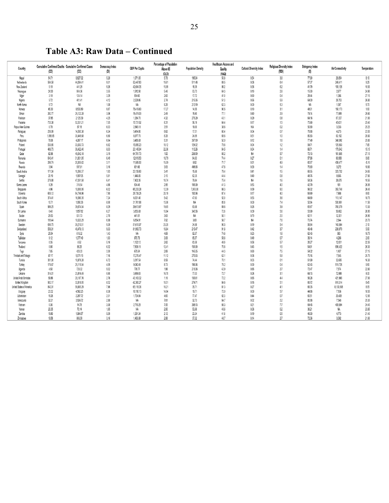| Table A3: Raw Data – Continued |  |
|--------------------------------|--|
|--------------------------------|--|

|                          |          |                                                                |                         |                       | Percentage of Population |                           | <b>Healthcare Access and</b> |                                 |                                           |                                |                         |             |
|--------------------------|----------|----------------------------------------------------------------|-------------------------|-----------------------|--------------------------|---------------------------|------------------------------|---------------------------------|-------------------------------------------|--------------------------------|-------------------------|-------------|
| Country                  | (CD)     | Cumulative Confirmed Deaths Cumulative Confirmed Cases<br>(CC) | Democracy Index<br>(DI) | <b>GDP Per Capita</b> | Above 65<br>(OLD)        | <b>Population Density</b> | Quality<br>(HAQ)             | <b>Cultural Diversity Index</b> | <b>Religious Diversity Index</b><br>(RDI) | <b>Stringency Index</b><br>(S) | <b>Air Connectivity</b> | Temperature |
| Nepal                    | 54.71    | 8,827.32                                                       | 5.28                    | 1,071.05              | 5.78                     | 195.94                    | 50.8                         | 0.54                            | 3.8                                       | 77.90                          | 29,854                  | 8.10        |
| Netherlands              | 564.58   | 44,064.41                                                      | 9.01                    | 52,447.83             | 19.61                    | 511.48                    | 89.5                         | 0.08                            | 6.4                                       | 57.37                          | 249,411                 | 9.25        |
| New Zealand              | 5.18     | 441.29                                                         | 9.26                    | 42,084.35             | 15.99                    | 18.39                     | 86.2                         | 0.36                            | 6.2                                       | 41.79                          | 100,126                 | 10.55       |
| Nicaragua                | 24.30    | 904.36                                                         | 3.55                    | 1,912.90              | 5.46                     | 53.73                     | 64.3                         | 0.10                            | 2.8                                       | 15.00                          | 2,877                   | 24.90       |
| Niger                    | 3.18     | 124.14                                                         | 3.29                    | 554.60                | 2.60                     | 17.72                     | 41.0                         | 0.60                            | 0.4                                       | 28.44                          | 1,386                   | 27.15       |
| Nigeria                  | 5.72     | 401.41                                                         | 4.12                    | 2,229.86              | 2.74                     | 215.06                    | 51.3                         | 0.66                            | 5.9                                       | 64.00                          | 29,753                  | 26.80       |
|                          | 5.72     | NA                                                             | 1.08                    | NA                    | 9.26                     | 212.19                    | 62.3                         | 0.00                            | 5.3                                       | NA                             | 1,087                   | 5.70        |
| North Korea              |          |                                                                |                         |                       |                          |                           |                              |                                 | 3.1                                       |                                |                         |             |
| Norway                   | 65.30    | 8.530.89                                                       | 9.87                    | 75,419.63             | 17.27                    | 14.55                     | 90.5                         | 0.10                            |                                           | 48.01                          | 150,173                 | 1.50        |
| Oman                     | 282.77   | 25,122.28                                                      | 3.06                    | 15,474.03             | 2.45                     | 15.60                     | 77.1                         | 0.40                            | 2.9                                       | 74.14                          | 77,065                  | 25.60       |
| Pakistan                 | 37.85    | 2,125.39                                                       | 4.25                    | 1,284.70              | 4.32                     | 275.29                    | 43.1                         | 0.29                            | 0.8                                       | 64.16                          | 87,337                  | 21.00       |
| Panama                   | 735.38   | 52,531.21                                                      | 7.05                    | 15,731.02             | 8.31                     | 56.19                     | 64.4                         | 0.17                            | 1.5                                       | 75.90                          | 45,631                  | 25.40       |
| Papua New Guinea         | 0.78     | 87.18                                                          | 6.03                    | 2,845.18              | 3.51                     | 19.00                     | 38.6                         | N/A                             | 0.2                                       | 50.80                          | 3,333                   | 25.25       |
| Paraguay                 | 256.99   | 14,565.38                                                      | 6.24                    | 5,414.80              | 6.62                     | 17.51                     | 60.4                         | 0.04                            | 0.7                                       | 76.68                          | 4,273                   | 23.55       |
| Peru                     | 1.098.85 | 30.449.68                                                      | 6.60                    | 6,977.70              | 8.39                     | 24.99                     | 69.6                         | 0.51                            | 1.0                                       | 80.83                          | 83.192                  | 20.60       |
| Philippines              | 78.06    | 4.267.17                                                       | 6.64                    | 3.485.08              | 5.31                     | 357.69                    | 52.0                         | 0.12                            | 1.6                                       | 77.49                          | 348,092                 | 25.85       |
| Poland                   | 530.80   | 33,003.73                                                      | 6.62                    | 15,595.23             | 18.12                    | 124.02                    | 79.6                         | 0.04                            | 1.2                                       | 54.71                          | 120,933                 | 7.85        |
| Portugal                 | 486.73   | 38,422.40                                                      | 8.03                    | 23,145.04             | 22.36                    | 112.26                    | 84.5                         | 0.04                            | 1.4                                       | 66.71                          | 179,542                 | 15.15       |
| Qatar                    | 82.96    | 49,542.18                                                      | 3.19                    | 64,781.73             | 1.52                     | 239.59                    | 85.2                         | NA                              | 5.7                                       | 72.13                          | 161,805                 | 27.15       |
| Romania                  | 640.41   | 31,831.95                                                      | 6.49                    | 12,919.53             | 18.79                    | 84.63                     | 74.4                         | 0.27                            | 0.1                                       | 57.86                          | 60,999                  | 8.80        |
| Russia                   | 298.74   | 20.305.62                                                      | 3.11                    | 11,585.00             | 15.09                    | 8.82                      | 71.7                         | 0.31                            | 4.9                                       | 60.57                          | 438,477                 | $-5.10$     |
| Rwanda                   | 3.94     | 597.81                                                         | 3.16                    | 801.66                | 3.03                     | 498.66                    | 47.8                         | 0.00                            | 1.4                                       | 70.60                          | 3,272                   | 18.85       |
|                          |          |                                                                |                         |                       |                          |                           |                              |                                 |                                           |                                |                         |             |
| Saudi Arabia             | 171.34   | 10,395.37                                                      | 1.93                    | 23,139.80             | 3.41                     | 15.68                     | 79.4                         | 0.41                            | 1.5                                       | 66.55                          | 323,732                 | 24.65       |
| Senegal                  | 20.19    | 1.097.05                                                       | 5.81                    | 1,446.83              | 3.10                     | 82.35                     | 44.4                         | 0.40                            | 0.8                                       | 48.76                          | 8,865                   | 27.85       |
| Serbia                   | 279.88   | 47.051.58                                                      | 6.41                    | 7.402.35              | 18.74                    | 79.84                     | 75.4                         | NA                              | 1.6                                       | 58.36                          | 28,875                  | 10.55       |
| Sierra Leone             | 9.28     | 319.54                                                         | 4.86                    | 504.46                | 2.95                     | 105.99                    | 41.3                         | 0.53                            | 4.0                                       | 42.79                          | 161                     | 26.05       |
| Singapore                | 4.96     | 10.000.95                                                      | 6.02                    | 65,233.28             | 12.39                    | 7,953.00                  | 86.3                         | 0.39                            | 9.0                                       | 56.32                          | 353,748                 | 26.45       |
| Slovenia                 | 605.12   | 54,746.86                                                      | 7.50                    | 25,739.25             | 20.19                    | 102.96                    | 87.4                         | 0.17                            | 4.0                                       | 55.69                          | 7,688                   | 8.90        |
| South Africa             | 374.41   | 16,580.35                                                      | 7.24                    | 6,001.40              | 5.42                     | 47.63                     | 52.0                         | 0.53                            | 3.6                                       | 64.80                          | 113,147                 | 18.75       |
| South Korea              | 10.71    | 1,090.36                                                       | 8.00                    | 31,761.98             | 15.06                    | NA                        | 85.8                         | 0.00                            | 7.4                                       | 52.64                          | 500,951                 | 11.50       |
| Spain                    | 989.25   | 39,674.04                                                      | 8.29                    | 29,613.67             | 19.65                    | 93.68                     | 89.6                         | 0.26                            | 3.9                                       | 65.67                          | 793,379                 | 13.30       |
| Sri Lanka                | 6.40     | 1,857.82                                                       | 6.27                    | 3,853.08              | 10.84                    | 345.56                    | 72.8                         | 0.39                            | 5.6                                       | 53.99                          | 50,662                  | 26.95       |
| Sudan                    | 29.53    | 531.73                                                         | 2.70                    | 441.51                | 3.63                     | NA                        | 50.1                         | 0.70                            | 2.0                                       | 62.11                          | 12,301                  | 26.90       |
| Suriname                 | 199.44   | 10,023.29                                                      | 6.98                    | 6,854.91              | 7.02                     | 3.69                      | 56.7                         | NA                              | 7.6                                       | 70.74                          | 2.844                   | 25.70       |
| Sweden                   | 699.75   | 39,215.51                                                      | 9.39                    | 51,610.07             | 20.20                    | 24.98                     | 90.5                         | 0.19                            | 5.4                                       | 56.64                          | 143,064                 | 2.10        |
| Switzerland              | 558.31   | 49.476.13                                                      | 9.03                    | 81,993.73             | 18.84                    | 215.47                    | 91.8                         | 0.42                            | 3.7                                       | 49.48                          | 239,979                 | 5.50        |
| Syria                    | 25.54    | 618.32                                                         | 1.43                    | ΝA                    | 4.69                     | 92.07                     | 74.6                         | 0.23                            | 1.6                                       | 62.43                          | 583                     | 18.75       |
| Tajikistan               | 9.12     | 1,377.49                                                       | 1.93                    | 870.79                | 3.09                     | 65.57                     | 58.6                         | 0.49                            | 0.7                                       | 39.14                          | 4,286                   | 2.00        |
| Tanzania                 | 0.35     | 8.52                                                           | 5.16                    | 1,122.12              | 2.62                     | 63.58                     | 49.9                         | 0.56                            | 5.7                                       | 26.27                          | 12,931                  | 22.35       |
| Thailand                 | 0.86     | 86.25                                                          | 6.32                    | 7,808.19              | 12.41                    | 135.90                    | 70.8                         | 0.43                            | 1.5                                       | 54.91                          | 696,422                 | 26.30       |
|                          |          |                                                                |                         |                       |                          |                           |                              |                                 |                                           |                                |                         |             |
| Togo                     | 7.85     | 428.33                                                         | 3.30                    | 675.54                | 2.89                     | 145.05                    | 44.3                         | 0.60                            | 7.5                                       | 54.32                          | 1,437                   | 27.15       |
| Trinidad and Tobago      | 87.17    | 5.071.13                                                       | 7.16                    | 17,276.47             | 11.12                    | 270.93                    | 62.1                         | 0.38                            | 5.8                                       | 70.16                          | 7,545                   | 25.75       |
| Tunisia                  | 301.30   | 10,879.28                                                      | 6.72                    | 3,317.54              | 8.59                     | 74.44                     | 70.1                         | 0.03                            | 0.1                                       | 51.89                          | 32,695                  | 16.30       |
| Turkey                   | 176.67   | 25,115.94                                                      | 4.09                    | 9,042.49              | 8.73                     | 106.96                    | 76.2                         | 0.30                            | 0.4                                       | 62.43                          | 519,726                 | 9.90        |
| Uganda                   | 4.50     | 729.32                                                         | 5.02                    | 776.77                | 1.96                     | 213.06                    | 42.9                         | 0.65                            | 2.7                                       | 72.47                          | 7,574                   | 22.80       |
| Ukraine                  | 314.01   | 23,816.45                                                      | 5.90                    | 3,659.03              | 16.70                    | 77.03                     | 72.7                         | 0.26                            | 3.1                                       | 64.13                          | 72,988                  | 8.30        |
| United Arab Emirates     | 59.86    | 20,187.76                                                      | 2.76                    | 43,103.32             | 1.16                     | 135.61                    | 72.2                         | 0.65                            | 4,4                                       | 56.28                          | 421,965                 | 27.00       |
| United Kingdom           | 902.17   | 32,818.95                                                      | 8.52                    | 42,300.27             | 18.51                    | 274.71                    | 84.6                         | 0.18                            | 5.1                                       | 66.72                          | 916,314                 | 8.45        |
| United States of America | 842.31   | 56,665.29                                                      | 7.96                    | 65,118.36             | 16.21                    | 35.71                     | 81.3                         | 0.27                            | 4.1                                       | 66.35                          | 8.130,508               | 8.55        |
| Uruguay                  | 23.32    | 4,562.25                                                       | 8.38                    | 16,190.13             | 14.94                    | 19.71                     | 72.0                         | 0.00                            | 5.7                                       | 44.86                          | 7,136                   | 18.55       |
| Uzbekistan               | 18.26    | 2,287.72                                                       | 2.01                    | 1,724.84              | 4.60                     | 77.47                     | 62.3                         | 0.44                            | 0.7                                       | 60.51                          | 20,408                  | 12.05       |
| Venezuela                | 32.21    | 3,924.72                                                       | 2.88                    | NA                    | 7.61                     | 32.73                     | 64.7                         | 0.02                            | 2.2                                       | 80.98                          | 7,548                   | 25.35       |
| Vietnam                  | 0.36     | 14.78                                                          | 3.08                    | 2.715.28              | 7.55                     | 308.13                    | 66.3                         | 0.21                            | 7.7                                       | 64.45                          | 409,894                 | 24.45       |
| Yemen                    | 20.35    | 70.14                                                          | 1.95                    | NA                    | 2.90                     | 53.98                     | 49.6                         | 0.08                            | 0.2                                       | 36.21                          | NA                      | 23.85       |
| Zambia                   | 19.80    | 1.064.57                                                       | 5.09                    | 1,291.34              | 2.12                     | 23.34                     | 41.6                         | 0.19                            | 0.5                                       | 46.00                          | 4,773                   | 21.40       |
|                          |          |                                                                |                         |                       |                          |                           |                              |                                 | 27                                        |                                |                         |             |
| Zimbabwe                 | 19.58    | 866.59                                                         | 3.16                    | 1,463.99              | 2.98                     | 37.32                     | 48.7                         | 0.14                            |                                           | 72.36                          | 3,392                   | 21.00       |